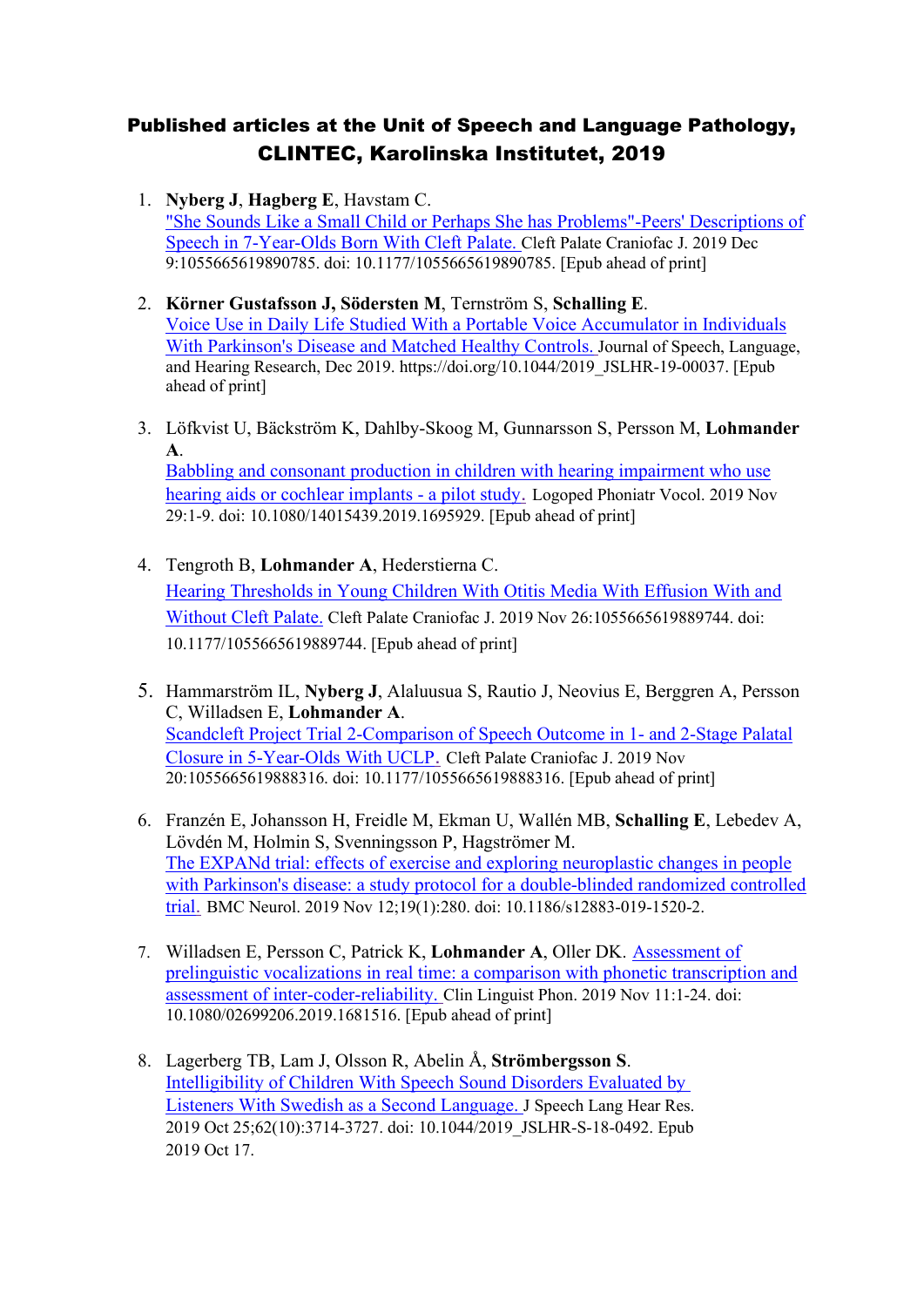## Published articles at the Unit of Speech and Language Pathology, CLINTEC, Karolinska Institutet, 2019

- 1. **Nyberg J**, **Hagberg E**, Havstam C. "She Sounds Like a Small Child or Perhaps She has [Problems"-Peers' Descriptions of](https://www-ncbi-nlm-nih-gov.proxy.kib.ki.se/pubmed/31818136)  [Speech in 7-Year-Olds Born With Cleft Palate.](https://www-ncbi-nlm-nih-gov.proxy.kib.ki.se/pubmed/31818136) Cleft Palate Craniofac J. 2019 Dec 9:1055665619890785. doi: 10.1177/1055665619890785. [Epub ahead of print]
- 2. **[Körner Gustafsson](https://pubs.asha.org/doi/full/10.1044/2019_JSLHR-19-00037) J, [Södersten](https://pubs.asha.org/doi/full/10.1044/2019_JSLHR-19-00037) M**, [Ternström](https://pubs.asha.org/doi/full/10.1044/2019_JSLHR-19-00037) S, **[Schalling](https://pubs.asha.org/doi/full/10.1044/2019_JSLHR-19-00037) E**. Voice Use in Daily Life Studied With a Portable Voice Accumulator in Individuals With Parkinson's Disease and Matched Healthy Controls. [Journal of Speech, Language,](https://pubs.asha.org/journal/jslhr)  [and Hearing Research,](https://pubs.asha.org/journal/jslhr) Dec 2019. [https://doi.org/10.1044/2019\\_JSLHR-19-00037.](https://doi.org/10.1044/2019_JSLHR-19-00037) [Epub ahead of print]
- 3. Löfkvist U, Bäckström K, Dahlby-Skoog M, Gunnarsson S, Persson M, **Lohmander A**.

[Babbling and consonant production in children with hearing impairment who use](https://www-ncbi-nlm-nih-gov.proxy.kib.ki.se/pubmed/31782330)  [hearing aids or cochlear implants -](https://www-ncbi-nlm-nih-gov.proxy.kib.ki.se/pubmed/31782330) a pilot study. Logoped Phoniatr Vocol. 2019 Nov 29:1-9. doi: 10.1080/14015439.2019.1695929. [Epub ahead of print]

- 4. Tengroth B, **Lohmander A**, Hederstierna C. [Hearing Thresholds in Young Children With Otitis Media With Effusion With and](https://www-ncbi-nlm-nih-gov.proxy.kib.ki.se/pubmed/31769302)  [Without Cleft Palate.](https://www-ncbi-nlm-nih-gov.proxy.kib.ki.se/pubmed/31769302) Cleft Palate Craniofac J. 2019 Nov 26:1055665619889744. doi: 10.1177/1055665619889744. [Epub ahead of print]
- 5. Hammarström IL, **Nyberg J**, Alaluusua S, Rautio J, Neovius E, Berggren A, Persson C, Willadsen E, **Lohmander A**. [Scandcleft Project Trial 2-Comparison of Speech Outcome in 1-](https://www-ncbi-nlm-nih-gov.proxy.kib.ki.se/pubmed/31746642) and 2-Stage Palatal [Closure in 5-Year-Olds With UCLP](https://www-ncbi-nlm-nih-gov.proxy.kib.ki.se/pubmed/31746642). Cleft Palate Craniofac J. 2019 Nov 20:1055665619888316. doi: 10.1177/1055665619888316. [Epub ahead of print]
- 6. Franzén E, Johansson H, Freidle M, Ekman U, Wallén MB, **Schalling E**, Lebedev A, Lövdén M, Holmin S, Svenningsson P, Hagströmer M. [The EXPANd trial: effects of exercise and exploring neuroplastic changes in people](https://www-ncbi-nlm-nih-gov.proxy.kib.ki.se/pubmed/31718583)  [with Parkinson's disease: a study protocol for a double-blinded randomized controlled](https://www-ncbi-nlm-nih-gov.proxy.kib.ki.se/pubmed/31718583)  [trial](https://www-ncbi-nlm-nih-gov.proxy.kib.ki.se/pubmed/31718583). BMC Neurol. 2019 Nov 12;19(1):280. doi: 10.1186/s12883-019-1520-2.
- 7. Willadsen E, Persson C, Patrick K, **Lohmander A**, Oller DK. [Assessment of](https://www-ncbi-nlm-nih-gov.proxy.kib.ki.se/pubmed/31711312)  [prelinguistic vocalizations in real time: a comparison with phonetic transcription and](https://www-ncbi-nlm-nih-gov.proxy.kib.ki.se/pubmed/31711312)  [assessment of inter-coder-reliability.](https://www-ncbi-nlm-nih-gov.proxy.kib.ki.se/pubmed/31711312) Clin Linguist Phon. 2019 Nov 11:1-24. doi: 10.1080/02699206.2019.1681516. [Epub ahead of print]
- 8. Lagerberg TB, Lam J, Olsson R, Abelin Å, **Strömbergsson S**. [Intelligibility](https://www-ncbi-nlm-nih-gov.proxy.kib.ki.se/pubmed/31619121) of Children With Speech Sound Disorders Evaluated by Listeners [With Swedish as a](https://www-ncbi-nlm-nih-gov.proxy.kib.ki.se/pubmed/31619121) Second Language. J Speech Lang Hear Res. 2019 Oct 25;62(10):3714-3727. doi: 10.1044/2019\_JSLHR-S-18-0492. Epub 2019 Oct 17.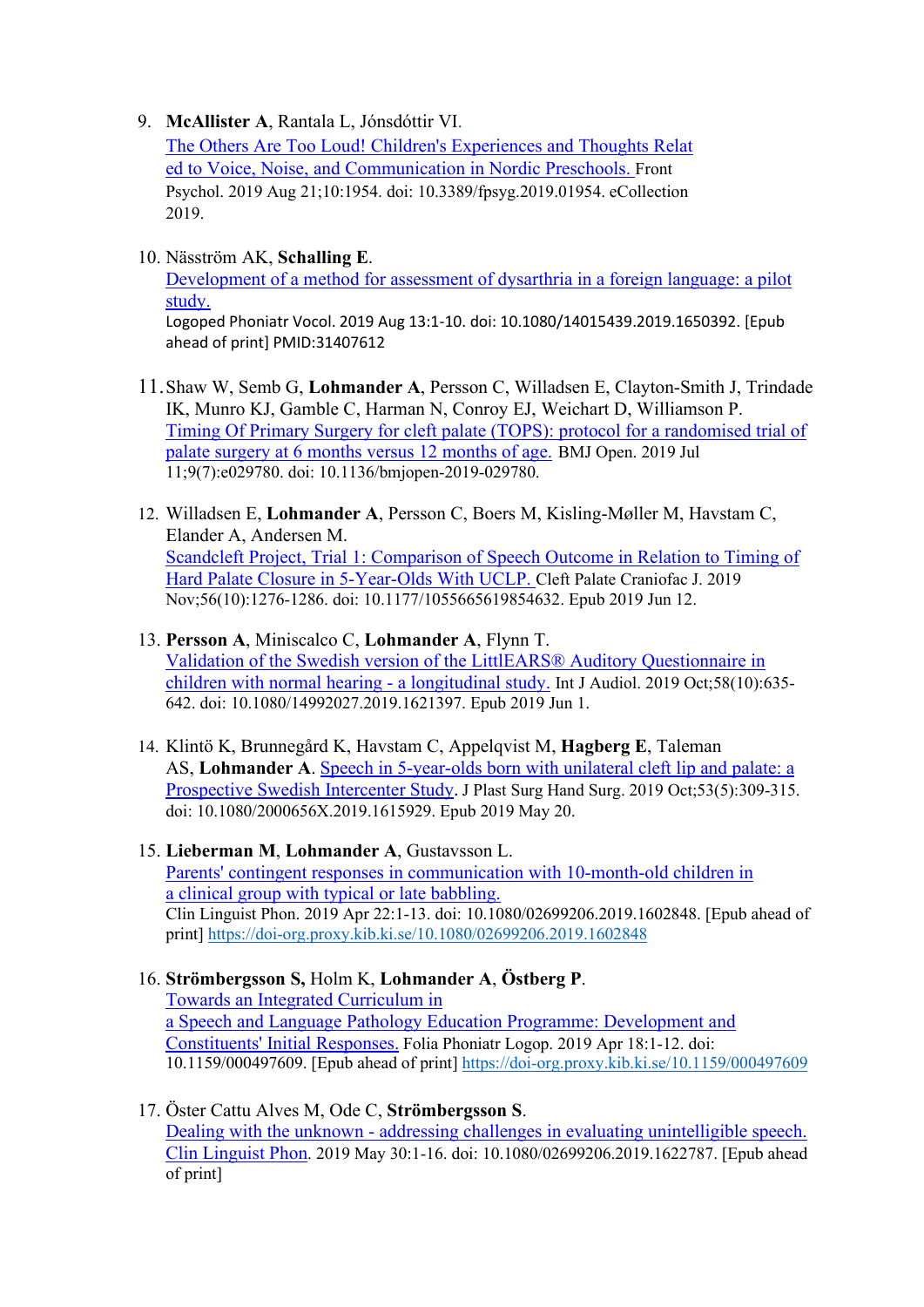9. **[McAllister](https://scholar.google.se/citations?user=OTDIfqgAAAAJ&hl=sv&oi=sra) A**, Rantala L, Jónsdóttir VI.

The Others Are Too Loud! Children's [Experiences](https://www-ncbi-nlm-nih-gov.proxy.kib.ki.se/pubmed/31496984) and Thoughts Relat ed to Voice, Noise, and [Communication](https://www-ncbi-nlm-nih-gov.proxy.kib.ki.se/pubmed/31496984) in Nordic Preschools. Front Psychol. 2019 Aug 21;10:1954. doi: 10.3389/fpsyg.2019.01954. eCollection 2019.

10. Näsström AK, **Schalling E**.

[Development of a method for assessment of dysarthria in a foreign language: a pilot](https://www-ncbi-nlm-nih-gov.proxy.kib.ki.se/pubmed/31407612)  [study.](https://www-ncbi-nlm-nih-gov.proxy.kib.ki.se/pubmed/31407612)

Logoped Phoniatr Vocol. 2019 Aug 13:1-10. doi: 10.1080/14015439.2019.1650392. [Epub ahead of print] PMID:31407612

- 11.Shaw W, Semb G, **Lohmander A**, Persson C, Willadsen E, Clayton-Smith J, Trindade IK, Munro KJ, Gamble C, Harman N, Conroy EJ, Weichart D, Williamson P. [Timing Of Primary Surgery for cleft palate \(TOPS\): protocol for a randomised trial of](https://www-ncbi-nlm-nih-gov.proxy.kib.ki.se/pubmed/31300507)  [palate surgery at 6 months versus 12 months of age.](https://www-ncbi-nlm-nih-gov.proxy.kib.ki.se/pubmed/31300507) BMJ Open. 2019 Jul 11;9(7):e029780. doi: 10.1136/bmjopen-2019-029780.
- 12. Willadsen E, **Lohmander A**, Persson C, Boers M, Kisling-Møller M, Havstam C, Elander A, Andersen M. [Scandcleft Project, Trial 1: Comparison of Speech Outcome in Relation to Timing of](https://www-ncbi-nlm-nih-gov.proxy.kib.ki.se/pubmed/31189334)  [Hard Palate Closure in 5-Year-Olds With UCLP.](https://www-ncbi-nlm-nih-gov.proxy.kib.ki.se/pubmed/31189334) Cleft Palate Craniofac J. 2019 Nov;56(10):1276-1286. doi: 10.1177/1055665619854632. Epub 2019 Jun 12.

## 13. **Persson A**, Miniscalco C, **Lohmander A**, Flynn T. [Validation of the Swedish version of the LittlEARS®](https://www-ncbi-nlm-nih-gov.proxy.kib.ki.se/pubmed/31154871) Auditory Questionnaire in [children with normal hearing -](https://www-ncbi-nlm-nih-gov.proxy.kib.ki.se/pubmed/31154871) a longitudinal study. [Int J Audiol.](https://www-ncbi-nlm-nih-gov.proxy.kib.ki.se/pubmed/?term=Validation+of+the+Swedish+version+of+the+LittlEARS%C2%AE+Auditory+Questionnaire+in+children+with+normal+hearing+-+a+longitudinal+study) 2019 Oct;58(10):635-

642. doi: 10.1080/14992027.2019.1621397. Epub 2019 Jun 1.

- 14. Klintö K, Brunnegård K, Havstam C, Appelqvist M, **Hagberg E**, Taleman AS, **Lohmander A**. [Speech in 5-year-olds born with unilateral cleft lip and palate: a](https://www-ncbi-nlm-nih-gov.proxy.kib.ki.se/pubmed/31107134)  [Prospective Swedish Intercenter Study](https://www-ncbi-nlm-nih-gov.proxy.kib.ki.se/pubmed/31107134). J Plast Surg Hand Surg. 2019 Oct;53(5):309-315. doi: 10.1080/2000656X.2019.1615929. Epub 2019 May 20.
- 15. **Lieberman M**, **Lohmander A**, Gustavsson L. Parents' contingent responses in [communication](https://www-ncbi-nlm-nih-gov.proxy.kib.ki.se/pubmed/31010352) with 10-month-old children in a clinical group with typical or late [babbling.](https://www-ncbi-nlm-nih-gov.proxy.kib.ki.se/pubmed/31010352) Clin Linguist Phon. 2019 Apr 22:1-13. doi: 10.1080/02699206.2019.1602848. [Epub ahead of print] <https://doi-org.proxy.kib.ki.se/10.1080/02699206.2019.1602848>
- 16. **Strömbergsson S,** Holm K, **Lohmander A**, **Östberg P**. Towards an Integrated [Curriculum](https://www-ncbi-nlm-nih-gov.proxy.kib.ki.se/pubmed/30999306) in a Speech and Language Pathology Education Programme: [Development](https://www-ncbi-nlm-nih-gov.proxy.kib.ki.se/pubmed/30999306) and [Constituents'](https://www-ncbi-nlm-nih-gov.proxy.kib.ki.se/pubmed/30999306) Initial Responses. Folia Phoniatr Logop. 2019 Apr 18:1-12. doi: 10.1159/000497609. [Epub ahead of print] <https://doi-org.proxy.kib.ki.se/10.1159/000497609>
- 17. Öster Cattu Alves M, Ode C, **Strömbergsson S**. Dealing with the unknown - [addressing challenges in evaluating unintelligible speech.](https://www-ncbi-nlm-nih-gov.proxy.kib.ki.se/pubmed/31146592) Clin Linguist Phon. 2019 May 30:1-16. doi: 10.1080/02699206.2019.1622787. [Epub ahead of print]